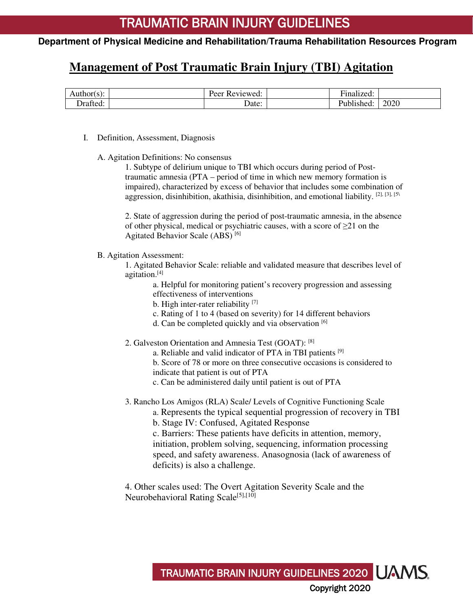#### **Management of Post Traumatic Brain Injury (TBI) Agitation**

| $Author(s)$ : | eer<br>'eviewed.<br>ΛC | $\sim$ $\sim$<br>−.<br>≀nalized: |      |
|---------------|------------------------|----------------------------------|------|
| )rafted:      | Date:                  | ublished.                        | 2020 |

- I. Definition, Assessment, Diagnosis
	- A. Agitation Definitions: No consensus

1. Subtype of delirium unique to TBI which occurs during period of Posttraumatic amnesia (PTA – period of time in which new memory formation is impaired), characterized by excess of behavior that includes some combination of aggression, disinhibition, akathisia, disinhibition, and emotional liability. [2], [3], [5\

2. State of aggression during the period of post-traumatic amnesia, in the absence of other physical, medical or psychiatric causes, with a score of  $\geq 21$  on the Agitated Behavior Scale (ABS) [6]

B. Agitation Assessment:

1. Agitated Behavior Scale: reliable and validated measure that describes level of agitation.[4]

a. Helpful for monitoring patient's recovery progression and assessing effectiveness of interventions

b. High inter-rater reliability <sup>[7]</sup>

- c. Rating of 1 to 4 (based on severity) for 14 different behaviors
- d. Can be completed quickly and via observation [6]
- 2. Galveston Orientation and Amnesia Test (GOAT): [8]
	- a. Reliable and valid indicator of PTA in TBI patients <sup>[9]</sup>

b. Score of 78 or more on three consecutive occasions is considered to indicate that patient is out of PTA

- c. Can be administered daily until patient is out of PTA
- 3. Rancho Los Amigos (RLA) Scale/ Levels of Cognitive Functioning Scale a. Represents the typical sequential progression of recovery in TBI

b. Stage IV: Confused, Agitated Response

c. Barriers: These patients have deficits in attention, memory, initiation, problem solving, sequencing, information processing speed, and safety awareness. Anasognosia (lack of awareness of deficits) is also a challenge.

4. Other scales used: The Overt Agitation Severity Scale and the Neurobehavioral Rating Scale<sup>[5],[10]</sup>

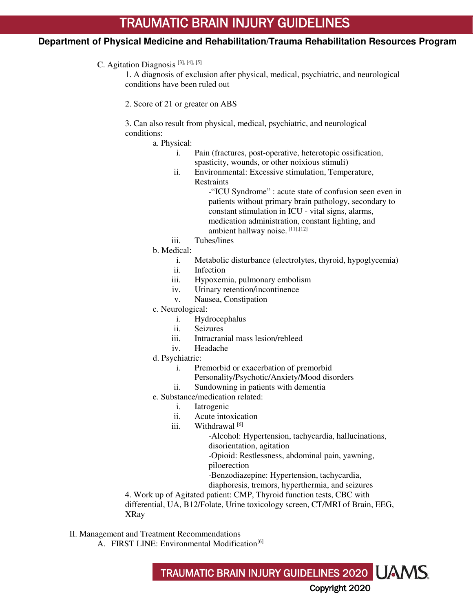# **Department of Physical Medicine and Rehabilitation/Trauma Rehabilitation Resources Program**

#### C. Agitation Diagnosis<sup>[3], [4], [5]</sup>

1. A diagnosis of exclusion after physical, medical, psychiatric, and neurological conditions have been ruled out

2. Score of 21 or greater on ABS

3. Can also result from physical, medical, psychiatric, and neurological conditions:

a. Physical:

- i. Pain (fractures, post-operative, heterotopic ossification, spasticity, wounds, or other noixious stimuli)
- ii. Environmental: Excessive stimulation, Temperature, **Restraints**

-"ICU Syndrome" : acute state of confusion seen even in patients without primary brain pathology, secondary to constant stimulation in ICU - vital signs, alarms, medication administration, constant lighting, and ambient hallway noise. [11],[12]

iii. Tubes/lines

b. Medical:

- i. Metabolic disturbance (electrolytes, thyroid, hypoglycemia)
- ii. Infection
- iii. Hypoxemia, pulmonary embolism
- iv. Urinary retention/incontinence
- v. Nausea, Constipation
- c. Neurological:
	- i. Hydrocephalus
	- ii. Seizures
	- iii. Intracranial mass lesion/rebleed
	- iv. Headache
- d. Psychiatric:
	- i. Premorbid or exacerbation of premorbid
		- Personality/Psychotic/Anxiety/Mood disorders
	- ii. Sundowning in patients with dementia
- e. Substance/medication related:
	- i. Iatrogenic
	- ii. Acute intoxication
	- iii. Withdrawal<sup>[6]</sup>

-Alcohol: Hypertension, tachycardia, hallucinations, disorientation, agitation

-Opioid: Restlessness, abdominal pain, yawning, piloerection

-Benzodiazepine: Hypertension, tachycardia,

diaphoresis, tremors, hyperthermia, and seizures

4. Work up of Agitated patient: CMP, Thyroid function tests, CBC with

differential, UA, B12/Folate, Urine toxicology screen, CT/MRI of Brain, EEG, XRay

II. Management and Treatment Recommendations

A. FIRST LINE: Environmental Modification<sup>[6]</sup>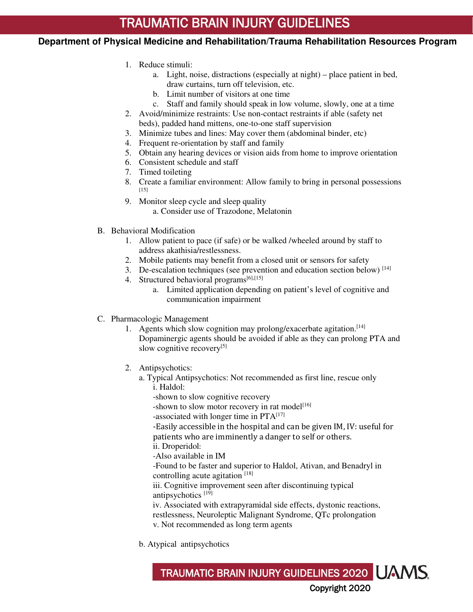# **Department of Physical Medicine and Rehabilitation/Trauma Rehabilitation Resources Program**

- 1. Reduce stimuli:
	- a. Light, noise, distractions (especially at night) place patient in bed, draw curtains, turn off television, etc.
	- b. Limit number of visitors at one time
	- c. Staff and family should speak in low volume, slowly, one at a time
- 2. Avoid/minimize restraints: Use non-contact restraints if able (safety net beds), padded hand mittens, one-to-one staff supervision
- 3. Minimize tubes and lines: May cover them (abdominal binder, etc)
- 4. Frequent re-orientation by staff and family
- 5. Obtain any hearing devices or vision aids from home to improve orientation
- 6. Consistent schedule and staff
- 7. Timed toileting
- 8. Create a familiar environment: Allow family to bring in personal possessions [15]
- 9. Monitor sleep cycle and sleep quality a. Consider use of Trazodone, Melatonin
- B. Behavioral Modification
	- 1. Allow patient to pace (if safe) or be walked /wheeled around by staff to address akathisia/restlessness.
	- 2. Mobile patients may benefit from a closed unit or sensors for safety
	- 3. De-escalation techniques (see prevention and education section below) [14]
	- 4. Structured behavioral programs<sup>[6],[15]</sup>
		- a. Limited application depending on patient's level of cognitive and communication impairment
- C. Pharmacologic Management
	- 1. Agents which slow cognition may prolong/exacerbate agitation.<sup>[14]</sup> Dopaminergic agents should be avoided if able as they can prolong PTA and slow cognitive recovery<sup>[5]</sup>
	- 2. Antipsychotics:
		- a. Typical Antipsychotics: Not recommended as first line, rescue only i. Haldol:
			- -shown to slow cognitive recovery
			- -shown to slow motor recovery in rat model<sup>[16]</sup>
			- -associated with longer time in PTA<sup>[17]</sup>

-Easily accessible in the hospital and can be given IM, IV: useful for patients who are imminently a danger to self or others.

ii. Droperidol:

-Also available in IM

-Found to be faster and superior to Haldol, Ativan, and Benadryl in controlling acute agitation<sup>[18]</sup>

iii. Cognitive improvement seen after discontinuing typical antipsychotics [19]

iv. Associated with extrapyramidal side effects, dystonic reactions, restlessness, Neuroleptic Malignant Syndrome, QTc prolongation v. Not recommended as long term agents

TRAUMATIC BRAIN INJURY GUIDELINES 2020

Copyright 2020

b. Atypical antipsychotics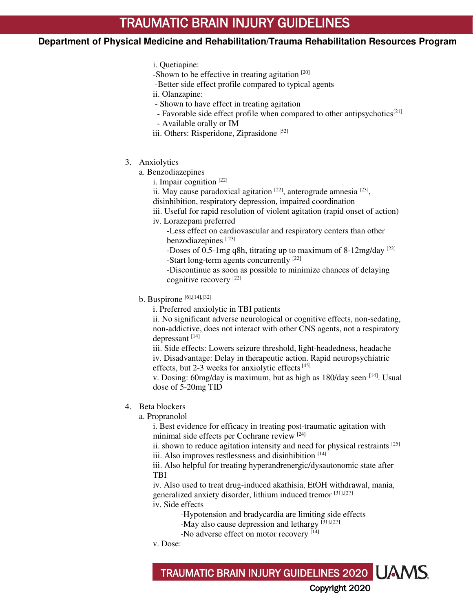# **Department of Physical Medicine and Rehabilitation/Trauma Rehabilitation Resources Program**

- i. Quetiapine:
- -Shown to be effective in treating agitation [20]
- -Better side effect profile compared to typical agents
- ii. Olanzapine:
- Shown to have effect in treating agitation
- Favorable side effect profile when compared to other antipsychotics<sup>[21]</sup>
- Available orally or IM
- iii. Others: Risperidone, Ziprasidone [52]
- 3. Anxiolytics
	- a. Benzodiazepines
		- i. Impair cognition  $[22]$
		- ii. May cause paradoxical agitation  $[22]$ , anterograde amnesia  $[23]$ ,
		- disinhibition, respiratory depression, impaired coordination
		- iii. Useful for rapid resolution of violent agitation (rapid onset of action)
		- iv. Lorazepam preferred
			- -Less effect on cardiovascular and respiratory centers than other benzodiazepines<sup>[23]</sup>

-Doses of 0.5-1mg q8h, titrating up to maximum of 8-12mg/day  $[22]$ -Start long-term agents concurrently [22]

-Discontinue as soon as possible to minimize chances of delaying cognitive recovery [22]

- b. Buspirone  $[6]$ , $[14]$ , $[32]$ 
	- i. Preferred anxiolytic in TBI patients

ii. No significant adverse neurological or cognitive effects, non-sedating, non-addictive, does not interact with other CNS agents, not a respiratory depressant [14]

iii. Side effects: Lowers seizure threshold, light-headedness, headache iv. Disadvantage: Delay in therapeutic action. Rapid neuropsychiatric effects, but 2-3 weeks for anxiolytic effects<sup>[45]</sup>

v. Dosing: 60mg/day is maximum, but as high as 180/day seen. [14]. Usual dose of 5-20mg TID

- 4. Beta blockers
	- a. Propranolol

i. Best evidence for efficacy in treating post-traumatic agitation with minimal side effects per Cochrane review [24]

ii. shown to reduce agitation intensity and need for physical restraints [25] iii. Also improves restlessness and disinhibition [14]

iii. Also helpful for treating hyperandrenergic/dysautonomic state after TBI

iv. Also used to treat drug-induced akathisia, EtOH withdrawal, mania, generalized anxiety disorder, lithium induced tremor [31],[27] iv. Side effects

-Hypotension and bradycardia are limiting side effects

TRAUMATIC BRAIN INJURY GUIDELINES 2020

Copyright 2020

- -May also cause depression and lethargy [31],[27]
- -No adverse effect on motor recovery [14]
- v. Dose: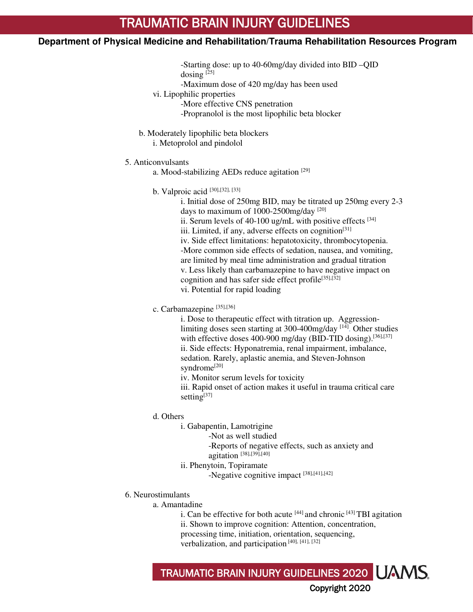- -Starting dose: up to 40-60mg/day divided into BID –QID dosing  $[25]$
- -Maximum dose of 420 mg/day has been used
- vi. Lipophilic properties
	- -More effective CNS penetration
	- -Propranolol is the most lipophilic beta blocker
- b. Moderately lipophilic beta blockers
	- i. Metoprolol and pindolol
- 5. Anticonvulsants
	- a. Mood-stabilizing AEDs reduce agitation [29]
	- b. Valproic acid [30],[32], [33]

i. Initial dose of 250mg BID, may be titrated up 250mg every 2-3 days to maximum of 1000-2500mg/day<sup>[20]</sup> ii. Serum levels of 40-100 ug/mL with positive effects  $[34]$ iii. Limited, if any, adverse effects on cognition<sup>[31]</sup> iv. Side effect limitations: hepatotoxicity, thrombocytopenia. -More common side effects of sedation, nausea, and vomiting, are limited by meal time administration and gradual titration v. Less likely than carbamazepine to have negative impact on cognition and has safer side effect profile<sup>[35],[32]</sup> vi. Potential for rapid loading

c. Carbamazepine [35],[36]

i. Dose to therapeutic effect with titration up. Aggressionlimiting doses seen starting at 300-400mg/day<sup>[14]</sup>. Other studies with effective doses 400-900 mg/day (BID-TID dosing).<sup>[36],[37]</sup> ii. Side effects: Hyponatremia, renal impairment, imbalance, sedation. Rarely, aplastic anemia, and Steven-Johnson syndrome<sup>[20]</sup>

iv. Monitor serum levels for toxicity

iii. Rapid onset of action makes it useful in trauma critical care setting $[37]$ 

- d. Others
	- i. Gabapentin, Lamotrigine
		- -Not as well studied

-Reports of negative effects, such as anxiety and agitation [38],[39],[40]

- ii. Phenytoin, Topiramate
	- -Negative cognitive impact [38],[41],[42]
- 6. Neurostimulants
	- a. Amantadine
		- i. Can be effective for both acute  $[44]$  and chronic  $[43]$  TBI agitation ii. Shown to improve cognition: Attention, concentration,

TRAUMATIC BRAIN INJURY GUIDELINES 2020

Copyright 2020

- processing time, initiation, orientation, sequencing,
- verbalization, and participation [40], [41], [32]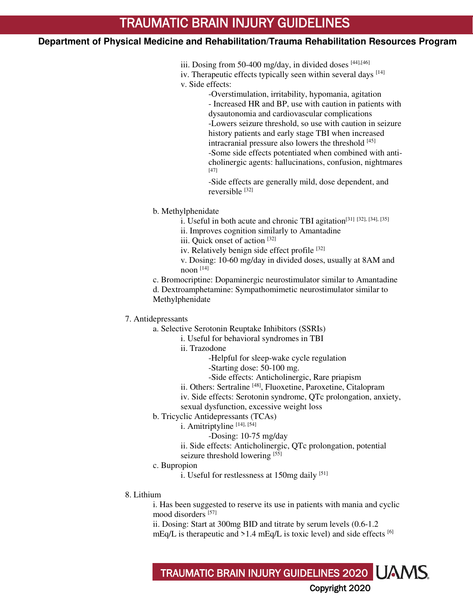iii. Dosing from 50-400 mg/day, in divided doses  $[44]$ ,  $[46]$ 

iv. Therapeutic effects typically seen within several days  $[14]$ v. Side effects:

> -Overstimulation, irritability, hypomania, agitation - Increased HR and BP, use with caution in patients with dysautonomia and cardiovascular complications -Lowers seizure threshold, so use with caution in seizure history patients and early stage TBI when increased intracranial pressure also lowers the threshold [45] -Some side effects potentiated when combined with anticholinergic agents: hallucinations, confusion, nightmares [47]

-Side effects are generally mild, dose dependent, and reversible [32]

b. Methylphenidate

- i. Useful in both acute and chronic TBI agitation[31] [32], [34], [35]
- ii. Improves cognition similarly to Amantadine

iii. Quick onset of action [32]

iv. Relatively benign side effect profile [32]

v. Dosing: 10-60 mg/day in divided doses, usually at 8AM and noon $[14]$ 

c. Bromocriptine: Dopaminergic neurostimulator similar to Amantadine

d. Dextroamphetamine: Sympathomimetic neurostimulator similar to Methylphenidate

7. Antidepressants

a. Selective Serotonin Reuptake Inhibitors (SSRIs)

i. Useful for behavioral syndromes in TBI

ii. Trazodone

-Helpful for sleep-wake cycle regulation

-Starting dose: 50-100 mg.

-Side effects: Anticholinergic, Rare priapism

ii. Others: Sertraline [48], Fluoxetine, Paroxetine, Citalopram

iv. Side effects: Serotonin syndrome, QTc prolongation, anxiety,

sexual dysfunction, excessive weight loss

b. Tricyclic Antidepressants (TCAs)

i. Amitriptyline [14], [54]

-Dosing: 10-75 mg/day

ii. Side effects: Anticholinergic, QTc prolongation, potential

seizure threshold lowering [55]

c. Bupropion

i. Useful for restlessness at  $150mg$  daily <sup>[51]</sup>

8. Lithium

i. Has been suggested to reserve its use in patients with mania and cyclic mood disorders [57]

ii. Dosing: Start at 300mg BID and titrate by serum levels (0.6-1.2 mEq/L is therapeutic and  $>1.4$  mEq/L is toxic level) and side effects [6]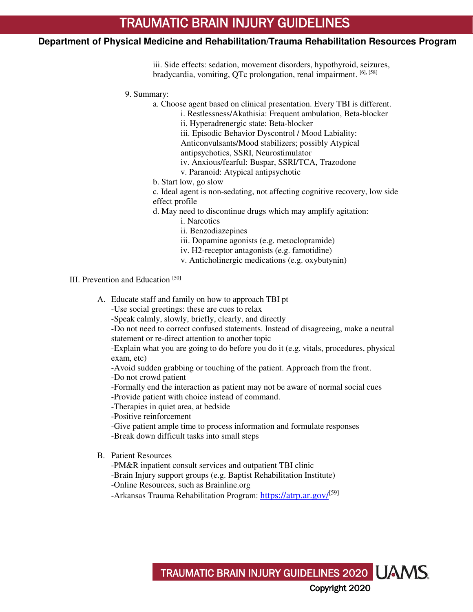iii. Side effects: sedation, movement disorders, hypothyroid, seizures, bradycardia, vomiting, QTc prolongation, renal impairment. [6], [58]

9. Summary:

a. Choose agent based on clinical presentation. Every TBI is different.

- i. Restlessness/Akathisia: Frequent ambulation, Beta-blocker
- ii. Hyperadrenergic state: Beta-blocker

iii. Episodic Behavior Dyscontrol / Mood Labiality:

Anticonvulsants/Mood stabilizers; possibly Atypical

- antipsychotics, SSRI, Neurostimulator
- iv. Anxious/fearful: Buspar, SSRI/TCA, Trazodone
- v. Paranoid: Atypical antipsychotic
- b. Start low, go slow
- c. Ideal agent is non-sedating, not affecting cognitive recovery, low side effect profile
- d. May need to discontinue drugs which may amplify agitation:
	- i. Narcotics
	- ii. Benzodiazepines
	- iii. Dopamine agonists (e.g. metoclopramide)
	- iv. H2-receptor antagonists (e.g. famotidine)
	- v. Anticholinergic medications (e.g. oxybutynin)

III. Prevention and Education<sup>[50]</sup>

A. Educate staff and family on how to approach TBI pt

-Use social greetings: these are cues to relax

-Speak calmly, slowly, briefly, clearly, and directly

-Do not need to correct confused statements. Instead of disagreeing, make a neutral statement or re-direct attention to another topic

-Explain what you are going to do before you do it (e.g. vitals, procedures, physical exam, etc)

TRAUMATIC BRAIN INJURY GUIDELINES 2020

Copyright 2020

-Avoid sudden grabbing or touching of the patient. Approach from the front.

- -Do not crowd patient
- -Formally end the interaction as patient may not be aware of normal social cues
- -Provide patient with choice instead of command.
- -Therapies in quiet area, at bedside

-Positive reinforcement

- -Give patient ample time to process information and formulate responses
- -Break down difficult tasks into small steps
- B. Patient Resources
	- -PM&R inpatient consult services and outpatient TBI clinic
	- -Brain Injury support groups (e.g. Baptist Rehabilitation Institute)
	- -Online Resources, such as Brainline.org
	- -Arkansas Trauma Rehabilitation Program: <https://atrp.ar.gov/><sup>[59]</sup>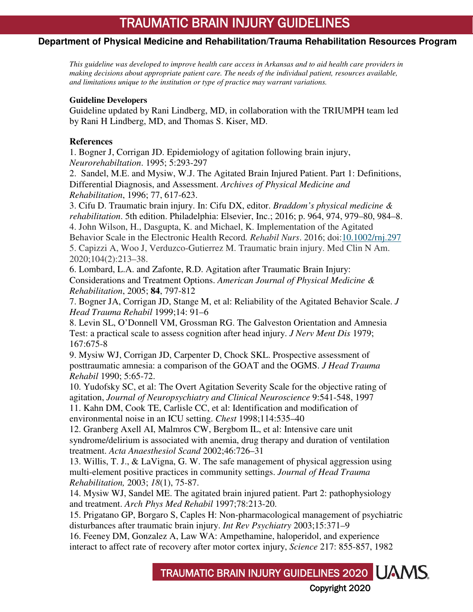# **Department of Physical Medicine and Rehabilitation/Trauma Rehabilitation Resources Program**

*This guideline was developed to improve health care access in Arkansas and to aid health care providers in making decisions about appropriate patient care. The needs of the individual patient, resources available, and limitations unique to the institution or type of practice may warrant variations.*

#### **Guideline Developers**

Guideline updated by Rani Lindberg, MD, in collaboration with the TRIUMPH team led by Rani H Lindberg, MD, and Thomas S. Kiser, MD.

#### **References**

1. Bogner J, Corrigan JD. Epidemiology of agitation following brain injury, *Neurorehabiltation*. 1995; 5:293-297

2. Sandel, M.E. and Mysiw, W.J. The Agitated Brain Injured Patient. Part 1: Definitions, Differential Diagnosis, and Assessment. *Archives of Physical Medicine and Rehabilitation*, 1996; 77, 617-623.

3. Cifu D. Traumatic brain injury. In: Cifu DX, editor. *Braddom's physical medicine & rehabilitation*. 5th edition. Philadelphia: Elsevier, Inc.; 2016; p. 964, 974, 979–80, 984–8. 4. John Wilson, H., Dasgupta, K. and Michael, K. Implementation of the Agitated

Behavior Scale in the Electronic Health Record*. Rehabil Nurs*. 2016; doi[:10.1002/rnj.297](https://doi.org/10.1002/rnj.297)

5. Capizzi A, Woo J, Verduzco-Gutierrez M. Traumatic brain injury. Med Clin N Am. 2020;104(2):213–38.

6. Lombard, L.A. and Zafonte, R.D. Agitation after Traumatic Brain Injury: Considerations and Treatment Options. *American Journal of Physical Medicine & Rehabilitation*, 2005; **84**, 797-812

7. Bogner JA, Corrigan JD, Stange M, et al: Reliability of the Agitated Behavior Scale. *J Head Trauma Rehabil* 1999;14: 91–6

8. Levin SL, O'Donnell VM, Grossman RG. The Galveston Orientation and Amnesia Test: a practical scale to assess cognition after head injury. *J Nerv Ment Dis* 1979; 167:675-8

9. Mysiw WJ, Corrigan JD, Carpenter D, Chock SKL. Prospective assessment of posttraumatic amnesia: a comparison of the GOAT and the OGMS. *J Head Trauma Rehabil* 1990; 5:65-72.

10. Yudofsky SC, et al: The Overt Agitation Severity Scale for the objective rating of agitation, *Journal of Neuropsychiatry and Clinical Neuroscience* 9:541-548, 1997

11. Kahn DM, Cook TE, Carlisle CC, et al: Identification and modification of environmental noise in an ICU setting. *Chest* 1998;114:535–40

12. Granberg Axell AI, Malmros CW, Bergbom IL, et al: Intensive care unit syndrome/delirium is associated with anemia, drug therapy and duration of ventilation treatment. *Acta Anaesthesiol Scand* 2002;46:726–31

13. Willis, T. J., & LaVigna, G. W. The safe management of physical aggression using multi-element positive practices in community settings. *Journal of Head Trauma Rehabilitation,* 2003; *18*(1), 75-87.

14. Mysiw WJ, Sandel ME. The agitated brain injured patient. Part 2: pathophysiology and treatment. *Arch Phys Med Rehabil* 1997;78:213-20.

15. Prigatano GP, Borgaro S, Caples H: Non-pharmacological management of psychiatric disturbances after traumatic brain injury. *Int Rev Psychiatry* 2003;15:371–9

16. Feeney DM, Gonzalez A, Law WA: Ampethamine, haloperidol, and experience interact to affect rate of recovery after motor cortex injury, *Science* 217: 855-857, 1982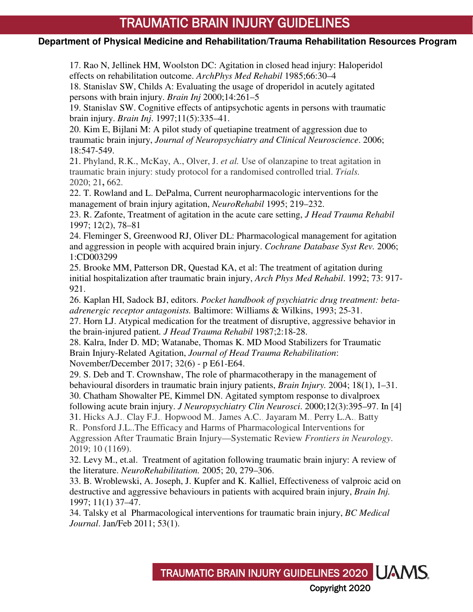# **Department of Physical Medicine and Rehabilitation/Trauma Rehabilitation Resources Program**

17. Rao N, Jellinek HM, Woolston DC: Agitation in closed head injury: Haloperidol effects on rehabilitation outcome. *ArchPhys Med Rehabil* 1985;66:30–4

18. Stanislav SW, Childs A: Evaluating the usage of droperidol in acutely agitated persons with brain injury. *Brain Inj* 2000;14:261–5

19. Stanislav SW. Cognitive effects of antipsychotic agents in persons with traumatic brain injury. *Brain Inj*. 1997;11(5):335–41.

20. Kim E, Bijlani M: A pilot study of quetiapine treatment of aggression due to traumatic brain injury, *Journal of Neuropsychiatry and Clinical Neuroscience*. 2006; 18:547-549.

21. Phyland, R.K., McKay, A., Olver, J. *et al.* Use of olanzapine to treat agitation in traumatic brain injury: study protocol for a randomised controlled trial. *Trials.*  2020; 21**,** 662.

22. T. Rowland and L. DePalma, Current neuropharmacologic interventions for the management of brain injury agitation, *NeuroRehabil* 1995; 219–232.

23. R. Zafonte, Treatment of agitation in the acute care setting, *J Head Trauma Rehabil*  1997; 12(2), 78–81

24. Fleminger S, Greenwood RJ, Oliver DL: Pharmacological management for agitation and aggression in people with acquired brain injury. *Cochrane Database Syst Rev.* 2006; 1:CD003299

25. Brooke MM, Patterson DR, Questad KA, et al: The treatment of agitation during initial hospitalization after traumatic brain injury, *Arch Phys Med Rehabil*. 1992; 73: 917- 921.

26. Kaplan HI, Sadock BJ, editors. *Pocket handbook of psychiatric drug treatment: betaadrenergic receptor antagonists.* Baltimore: Williams & Wilkins, 1993; 25-31.

27. Horn LJ. Atypical medication for the treatment of disruptive, aggressive behavior in the brain-injured patient*. J Head Trauma Rehabil* 1987;2:18-28.

28. Kalra, Inder D. MD; Watanabe, Thomas K. MD Mood Stabilizers for Traumatic Brain Injury-Related Agitation, *Journal of Head Trauma Rehabilitation*: November/December 2017; 32(6) - p E61-E64.

29. S. Deb and T. Crownshaw, The role of pharmacotherapy in the management of behavioural disorders in traumatic brain injury patients, *Brain Injury.* 2004; 18(1), 1–31. 30. Chatham Showalter PE, Kimmel DN. Agitated symptom response to divalproex

following acute brain injury. *J Neuropsychiatry Clin Neurosci*. 2000;12(3):395–97. In [4]

31. Hicks A.J., Clay F.J., Hopwood M., James A.C., Jayaram M., Perry L.A., Batty

R., Ponsford J.L..The Efficacy and Harms of Pharmacological Interventions for Aggression After Traumatic Brain Injury—Systematic Review *Frontiers in Neurology*. 2019; 10 (1169).

32. Levy M., et.al. Treatment of agitation following traumatic brain injury: A review of the literature. *NeuroRehabilitation.* 2005; 20, 279–306.

33. B. Wroblewski, A. Joseph, J. Kupfer and K. Kalliel, Effectiveness of valproic acid on destructive and aggressive behaviours in patients with acquired brain injury, *Brain Inj.*  1997; 11(1) 37–47.

34. Talsky et al Pharmacological interventions for traumatic brain injury, *BC Medical Journal*. Jan/Feb 2011; 53(1).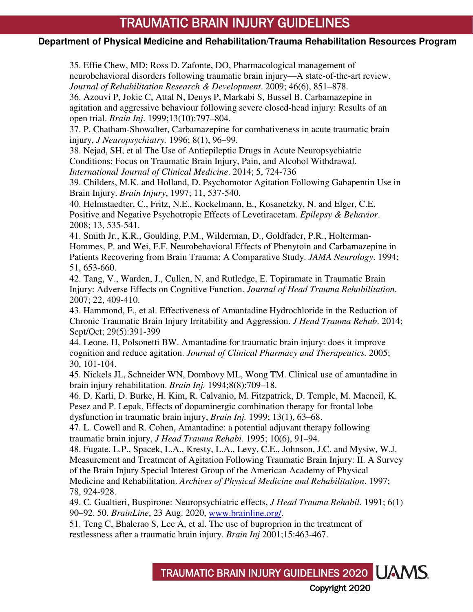# **Department of Physical Medicine and Rehabilitation/Trauma Rehabilitation Resources Program**

35. Effie Chew, MD; Ross D. Zafonte, DO, Pharmacological management of neurobehavioral disorders following traumatic brain injury—A state-of-the-art review. *Journal of Rehabilitation Research & Development*. 2009; 46(6), 851–878.

36. Azouvi P, Jokic C, Attal N, Denys P, Markabi S, Bussel B. Carbamazepine in agitation and aggressive behaviour following severe closed-head injury: Results of an open trial. *Brain Inj*. 1999;13(10):797–804.

37. P. Chatham-Showalter, Carbamazepine for combativeness in acute traumatic brain injury, *J Neuropsychiatry.* 1996; 8(1), 96–99.

38. Nejad, SH, et al The Use of Antiepileptic Drugs in Acute Neuropsychiatric Conditions: Focus on Traumatic Brain Injury, Pain, and Alcohol Withdrawal. *International Journal of Clinical Medicine*. 2014; 5, 724-736

39. Childers, M.K. and Holland, D. Psychomotor Agitation Following Gabapentin Use in Brain Injury. *Brain Injury*, 1997; 11, 537-540.

40. Helmstaedter, C., Fritz, N.E., Kockelmann, E., Kosanetzky, N. and Elger, C.E. Positive and Negative Psychotropic Effects of Levetiracetam. *Epilepsy & Behavior*. 2008; 13, 535-541.

41. Smith Jr., K.R., Goulding, P.M., Wilderman, D., Goldfader, P.R., Holterman-Hommes, P. and Wei, F.F. Neurobehavioral Effects of Phenytoin and Carbamazepine in Patients Recovering from Brain Trauma: A Comparative Study. *JAMA Neurology*. 1994; 51, 653-660.

42. Tang, V., Warden, J., Cullen, N. and Rutledge, E. Topiramate in Traumatic Brain Injury: Adverse Effects on Cognitive Function. *Journal of Head Trauma Rehabilitation*. 2007; 22, 409-410.

43. Hammond, F., et al. Effectiveness of Amantadine Hydrochloride in the Reduction of Chronic Traumatic Brain Injury Irritability and Aggression. *J Head Trauma Rehab*. 2014; Sept/Oct; 29(5):391-399

44. Leone. H, Polsonetti BW. Amantadine for traumatic brain injury: does it improve cognition and reduce agitation. *Journal of Clinical Pharmacy and Therapeutics.* 2005; 30, 101-104.

45. Nickels JL, Schneider WN, Dombovy ML, Wong TM. Clinical use of amantadine in brain injury rehabilitation. *Brain Inj.* 1994;8(8):709–18.

46. D. Karli, D. Burke, H. Kim, R. Calvanio, M. Fitzpatrick, D. Temple, M. Macneil, K. Pesez and P. Lepak, Effects of dopaminergic combination therapy for frontal lobe dysfunction in traumatic brain injury, *Brain Inj.* 1999; 13(1), 63–68.

47. L. Cowell and R. Cohen, Amantadine: a potential adjuvant therapy following traumatic brain injury, *J Head Trauma Rehabi.* 1995; 10(6), 91–94.

48. Fugate, L.P., Spacek, L.A., Kresty, L.A., Levy, C.E., Johnson, J.C. and Mysiw, W.J. Measurement and Treatment of Agitation Following Traumatic Brain Injury: II. A Survey of the Brain Injury Special Interest Group of the American Academy of Physical Medicine and Rehabilitation. *Archives of Physical Medicine and Rehabilitation*. 1997; 78, 924-928.

49. C. Gualtieri, Buspirone: Neuropsychiatric effects, *J Head Trauma Rehabil.* 1991; 6(1) 90–92. 50. *BrainLine*, 23 Aug. 2020, [www.brainline.org/.](http://www.brainline.org/)

51. Teng C, Bhalerao S, Lee A, et al. The use of buproprion in the treatment of restlessness after a traumatic brain injury. *Brain Inj* 2001;15:463-467.